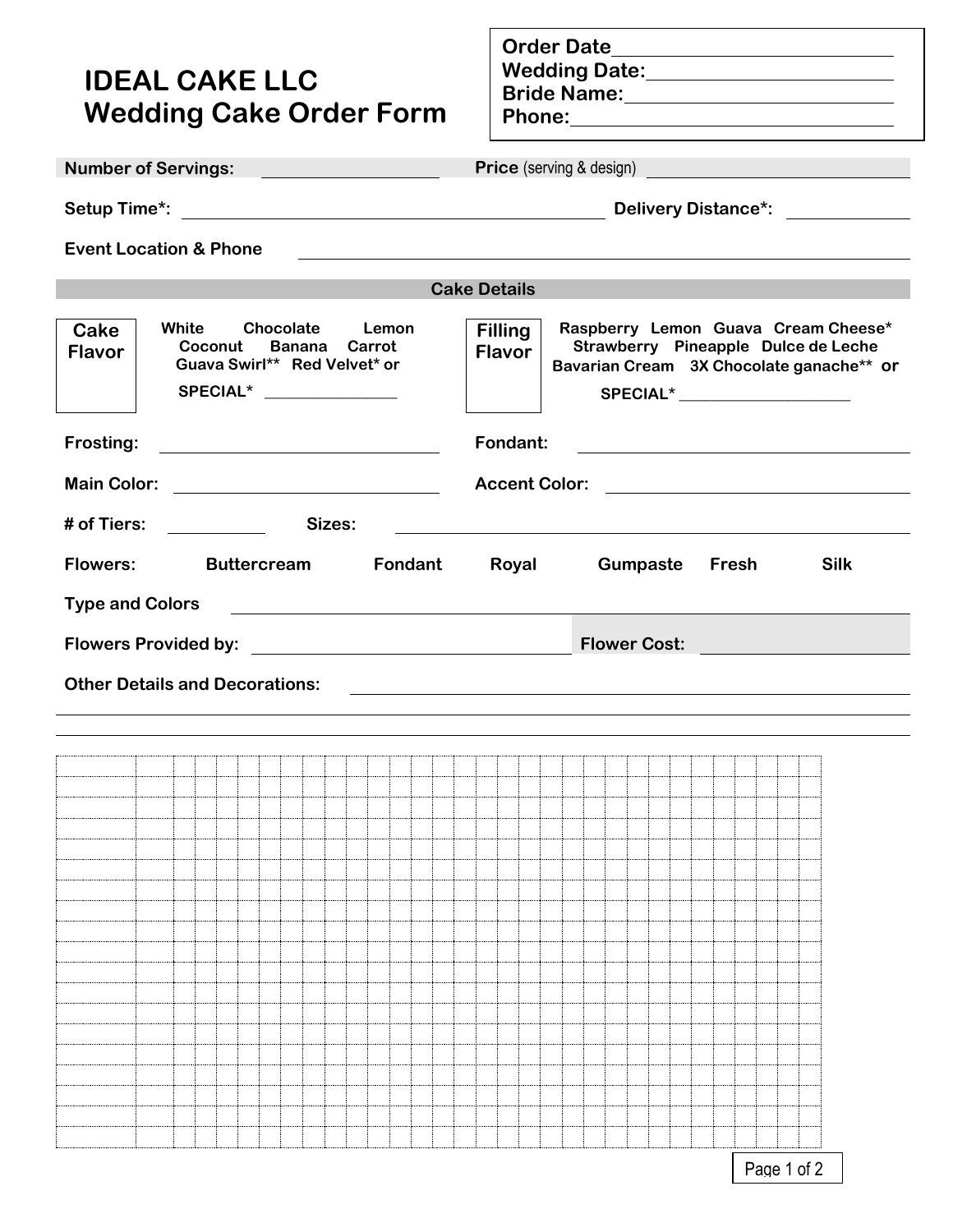## **IDEAL CAKE LLC Wedding Cake Order Form**

**Order Date Wedding Date: Bride Name: Phone:**

**Number of Servings: Price** (serving & design)

**Setup Time\*: Delivery Distance\*:**

**Event Location & Phone**

|                        |                                                                                                        |         | <b>Cake Details</b>             |                                                                                                                       |                                                                                                                                                          |
|------------------------|--------------------------------------------------------------------------------------------------------|---------|---------------------------------|-----------------------------------------------------------------------------------------------------------------------|----------------------------------------------------------------------------------------------------------------------------------------------------------|
| Cake<br><b>Flavor</b>  | Chocolate<br>White<br>Coconut Banana Carrot<br>Guava Swirl** Red Velvet* or<br>SPECIAL* ______________ | Lemon   | <b>Filling</b><br><b>Flavor</b> |                                                                                                                       | Raspberry Lemon Guava Cream Cheese*<br>Strawberry Pineapple Dulce de Leche<br>Bavarian Cream 3X Chocolate ganache** or<br>SPECIAL* _____________________ |
| Frosting:              |                                                                                                        |         | Fondant:                        |                                                                                                                       | <u> 1989 - Johann Stein, fransk politik (d. 1989)</u>                                                                                                    |
| <b>Main Color:</b>     |                                                                                                        |         |                                 |                                                                                                                       | Accent Color:                                                                                                                                            |
| # of Tiers:            | Sizes:                                                                                                 |         |                                 | <u> 1990 - Andrea State Barbara, política e a provincia de la provincia de la provincia de la provincia de la pro</u> |                                                                                                                                                          |
| <b>Flowers:</b>        | <b>Buttercream</b>                                                                                     | Fondant | Royal                           | Gumpaste                                                                                                              | <b>Silk</b><br>Fresh                                                                                                                                     |
| <b>Type and Colors</b> | <u> 1980 - Andrea Andrew Maria (h. 1980).</u>                                                          |         |                                 |                                                                                                                       |                                                                                                                                                          |
|                        |                                                                                                        |         |                                 |                                                                                                                       | Flower Cost: <u>Alexander Cost State Andrew Cost</u>                                                                                                     |
|                        | <b>Other Details and Decorations:</b>                                                                  |         |                                 |                                                                                                                       |                                                                                                                                                          |
|                        |                                                                                                        |         |                                 |                                                                                                                       |                                                                                                                                                          |
|                        |                                                                                                        |         |                                 |                                                                                                                       |                                                                                                                                                          |
|                        |                                                                                                        |         |                                 |                                                                                                                       |                                                                                                                                                          |
|                        |                                                                                                        |         |                                 |                                                                                                                       |                                                                                                                                                          |
|                        |                                                                                                        |         |                                 |                                                                                                                       |                                                                                                                                                          |
|                        |                                                                                                        |         |                                 |                                                                                                                       |                                                                                                                                                          |
|                        |                                                                                                        |         |                                 |                                                                                                                       |                                                                                                                                                          |
|                        |                                                                                                        |         |                                 |                                                                                                                       |                                                                                                                                                          |
|                        |                                                                                                        |         |                                 |                                                                                                                       |                                                                                                                                                          |
|                        |                                                                                                        |         |                                 |                                                                                                                       |                                                                                                                                                          |
|                        |                                                                                                        |         |                                 |                                                                                                                       |                                                                                                                                                          |
|                        |                                                                                                        |         |                                 |                                                                                                                       |                                                                                                                                                          |
|                        |                                                                                                        |         |                                 |                                                                                                                       |                                                                                                                                                          |
|                        |                                                                                                        |         |                                 |                                                                                                                       |                                                                                                                                                          |
|                        |                                                                                                        |         |                                 |                                                                                                                       |                                                                                                                                                          |
|                        |                                                                                                        |         |                                 |                                                                                                                       |                                                                                                                                                          |
|                        |                                                                                                        |         |                                 |                                                                                                                       |                                                                                                                                                          |
|                        |                                                                                                        |         |                                 |                                                                                                                       |                                                                                                                                                          |
|                        |                                                                                                        |         |                                 |                                                                                                                       | Page 1 of 2                                                                                                                                              |